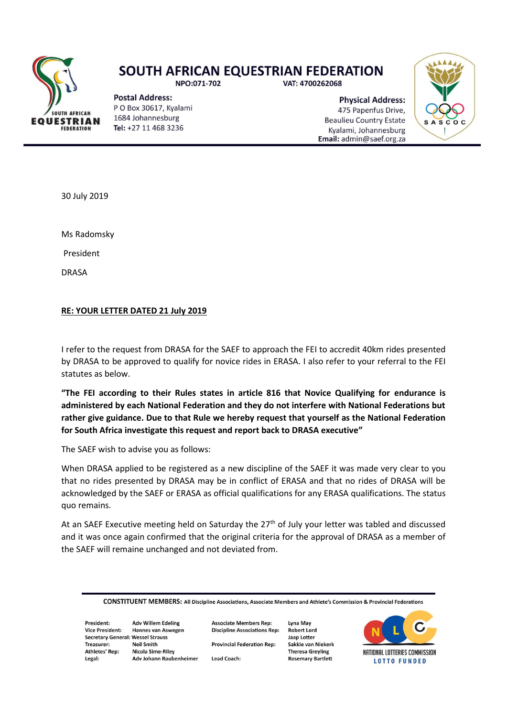

## **SOUTH AFRICAN EQUESTRIAN FEDERATION**

NPO:071-702

**Postal Address:** PO Box 30617, Kyalami 1684 Johannesburg Tel: +27 11 468 3236

VAT: 4700262068

**Physical Address:** 475 Papenfus Drive. **Beaulieu Country Estate** Kyalami, Johannesburg Email: admin@saef.org.za



30 July 2019

Ms Radomsky

President

DRASA

## **RE: YOUR LETTER DATED 21 July 2019**

I refer to the request from DRASA for the SAEF to approach the FEI to accredit 40km rides presented by DRASA to be approved to qualify for novice rides in ERASA. I also refer to your referral to the FEI statutes as below.

**"The FEI according to their Rules states in article 816 that Novice Qualifying for endurance is administered by each National Federation and they do not interfere with National Federations but rather give guidance. Due to that Rule we hereby request that yourself as the National Federation for South Africa investigate this request and report back to DRASA executive"**

The SAEF wish to advise you as follows:

When DRASA applied to be registered as a new discipline of the SAEF it was made very clear to you that no rides presented by DRASA may be in conflict of ERASA and that no rides of DRASA will be acknowledged by the SAEF or ERASA as official qualifications for any ERASA qualifications. The status quo remains.

At an SAEF Executive meeting held on Saturday the  $27<sup>th</sup>$  of July your letter was tabled and discussed and it was once again confirmed that the original criteria for the approval of DRASA as a member of the SAEF will remaine unchanged and not deviated from.

| <b>CONSTITUENT MEMBERS:</b> All Discipline Associations, Associate Members and Athlete's Commission & Provincial Federations |
|------------------------------------------------------------------------------------------------------------------------------|
|------------------------------------------------------------------------------------------------------------------------------|

President: **Adv Willem Edeling Vice President: Secretary General: Wessel Strauss** Treasurer: Athletes' Rep: Legal:

Hannes van Aswegen **Neil Smith Nicola Sime-Riley** Adv Johann Raubenheimer

**Discipline Associations Rep: Provincial Federation Rep:** 

**Associate Members Rep:** 

**Lead Coach:** 

**Lyna May Robert Lord** Jaap Lotter Sakkie van Niekerk **Theresa Greyling Rosemary Bartlett**